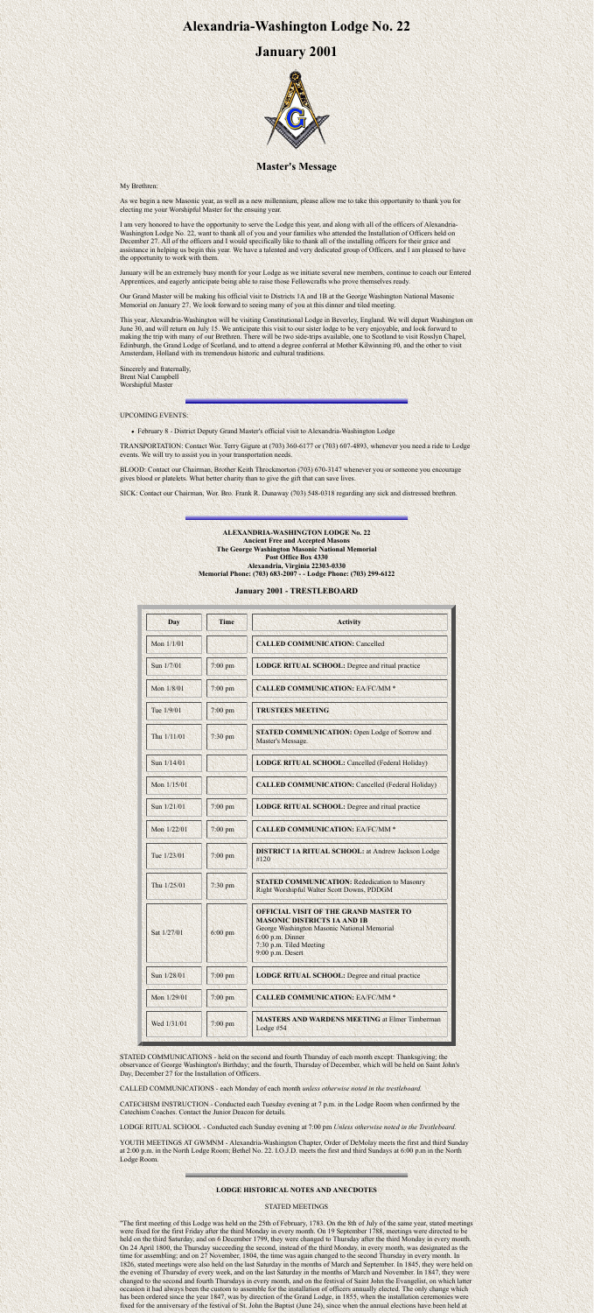# **Alexandria-Washington Lodge No. 22**

## **January 2001**



### **Master's Message**

My Brethren:

As we begin a new Masonic year, as well as a new millennium, please allow me to take this opportunity to thank you for electing me your Worshipful Master for the ensuing year.

I am very honored to have the opportunity to serve the Lodge this year, and along with all of the officers of Alexandria-Washington Lodge No. 22, want to thank all of you and your families who attended the Installation of Officers held on December 27. All of the officers and I would specifically like to thank all of the installing officers for their grace and assistance in helping us begin this year. We have a talented and very dedicated group of Officers, and I am pleased to have the opportunity to work with them.

January will be an extremely busy month for your Lodge as we initiate several new members, continue to coach our Entered Apprentices, and eagerly anticipate being able to raise those Fellowcrafts who prove themselves ready.

Our Grand Master will be making his official visit to Districts 1A and 1B at the George Washington National Masonic Memorial on January 27. We look forward to seeing many of you at this dinner and tiled meeting.

This year, Alexandria-Washington will be visiting Constitutional Lodge in Beverley, England. We will depart Washington on June 30, and will return on July 15. We anticipate this visit to our sister lodge to be very enjoyable, and look forward to making the trip with many of our Brethren. There will be two side-trips available, one to Scotland to visit Rosslyn Chapel, Edinburgh, the Grand Lodge of Scotland, and to attend a degree conferral at Mother Kilwinning #0, and the other to visit Amsterdam, Holland with its tremendous historic and cultural traditions.

Sincerely and fraternally, Brent Nial Campbell Worshipful Master

#### UPCOMING EVENTS:

February 8 - District Deputy Grand Master's official visit to Alexandria-Washington Lodge

TRANSPORTATION: Contact Wor. Terry Gigure at (703) 360-6177 or (703) 607-4893, whenever you need a ride to Lodge events. We will try to assist you in your transportation needs.

BLOOD: Contact our Chairman, Brother Keith Throckmorton (703) 670-3147 whenever you or someone you encourage gives blood or platelets. What better charity than to give the gift that can save lives.

YOUTH MEETINGS AT GWMNM - Alexandria-Washington Chapter, Order of DeMolay meets the first and third Sunday at 2:00 p.m. in the North Lodge Room; Bethel No. 22. I.O.J.D. meets the first and third Sundays at 6:00 p.m in the North Lodge Room.

SICK: Contact our Chairman, Wor. Bro. Frank R. Dunaway (703) 548-0318 regarding any sick and distressed brethren.

#### **ALEXANDRIA-WASHINGTON LODGE No. 22 Ancient Free and Accepted Masons The George Washington Masonic National Memorial Post Office Box 4330 Alexandria, Virginia 22303-0330 Memorial Phone: (703) 683-2007 - - Lodge Phone: (703) 299-6122**

#### **January 2001 - TRESTLEBOARD**

| Day         | <b>Time</b> | <b>Activity</b>                                                                                                                                                                                      |
|-------------|-------------|------------------------------------------------------------------------------------------------------------------------------------------------------------------------------------------------------|
| Mon 1/1/01  |             | <b>CALLED COMMUNICATION: Cancelled</b>                                                                                                                                                               |
| Sun 1/7/01  | $7:00$ pm   | <b>LODGE RITUAL SCHOOL:</b> Degree and ritual practice                                                                                                                                               |
| Mon 1/8/01  | $7:00$ pm   | <b>CALLED COMMUNICATION: EA/FC/MM *</b>                                                                                                                                                              |
| Tue 1/9/01  | $7:00$ pm   | <b>TRUSTEES MEETING</b>                                                                                                                                                                              |
| Thu 1/11/01 | 7:30 pm     | <b>STATED COMMUNICATION: Open Lodge of Sorrow and</b><br>Master's Message.                                                                                                                           |
| Sun 1/14/01 |             | <b>LODGE RITUAL SCHOOL: Cancelled (Federal Holiday)</b>                                                                                                                                              |
| Mon 1/15/01 |             | <b>CALLED COMMUNICATION: Cancelled (Federal Holiday)</b>                                                                                                                                             |
| Sun 1/21/01 | $7:00$ pm   | <b>LODGE RITUAL SCHOOL:</b> Degree and ritual practice                                                                                                                                               |
| Mon 1/22/01 | $7:00$ pm   | <b>CALLED COMMUNICATION: EA/FC/MM *</b>                                                                                                                                                              |
| Tue 1/23/01 | $7:00$ pm   | <b>DISTRICT 1A RITUAL SCHOOL: at Andrew Jackson Lodge</b><br>#120                                                                                                                                    |
| Thu 1/25/01 | $7:30$ pm   | <b>STATED COMMUNICATION: Rededication to Masonry</b><br>Right Worshipful Walter Scott Downs, PDDGM                                                                                                   |
| Sat 1/27/01 | $6:00$ pm   | <b>OFFICIAL VISIT OF THE GRAND MASTER TO</b><br><b>MASONIC DISTRICTS 1A AND 1B</b><br>George Washington Masonic National Memorial<br>6:00 p.m. Dinner<br>7:30 p.m. Tiled Meeting<br>9:00 p.m. Desert |
| Sun 1/28/01 | $7:00$ pm   | <b>LODGE RITUAL SCHOOL:</b> Degree and ritual practice                                                                                                                                               |
| Mon 1/29/01 | $7:00$ pm   | <b>CALLED COMMUNICATION: EA/FC/MM *</b>                                                                                                                                                              |
| Wed 1/31/01 | $7:00$ pm   | <b>MASTERS AND WARDENS MEETING at Elmer Timberman</b><br>Lodge $#54$                                                                                                                                 |

STATED COMMUNICATIONS - held on the second and fourth Thursday of each month except: Thanksgiving; the

observance of George Washington's Birthday; and the fourth, Thursday of December, which will be held on Saint John's Day, December 27 for the Installation of Officers.

CALLED COMMUNICATIONS - each Monday of each month *unless otherwise noted in the trestleboard.*

CATECHISM INSTRUCTION - Conducted each Tuesday evening at 7 p.m. in the Lodge Room when confirmed by the Catechism Coaches. Contact the Junior Deacon for details.

LODGE RITUAL SCHOOL - Conducted each Sunday evening at 7:00 pm *Unless otherwise noted in the Trestleboard.*

#### **LODGE HISTORICAL NOTES AND ANECDOTES**

#### STATED MEETINGS

"The first meeting of this Lodge was held on the 25th of February, 1783. On the 8th of July of the same year, stated meetings were fixed for the first Friday after the third Monday in every month. On 19 September 1788, meetings were directed to be held on the third Saturday, and on 6 December 1799, they were changed to Thursday after the third Monday in every month. On 24 April 1800, the Thursday succeeding the second, instead of the third Monday, in every month, was designated as the time for assembling; and on 27 November, 1804, the time was again changed to the second Thursday in every month. In 1826, stated meetings were also held on the last Saturday in the months of March and September. In 1845, they were held on the evening of Thursday of every week, and on the last Saturday in the months of March and November. In 1847, they were changed to the second and fourth Thursdays in every month, and on the festival of Saint John the Evangelist, on which latter occasion it had always been the custom to assemble for the installation of officers annually elected. The only change which has been ordered since the year 1847, was by direction of the Grand Lodge, in 1855, when the installation ceremonies were fixed for the anniversary of the festival of St. John the Baptist (June 24), since when the annual elections have been held at